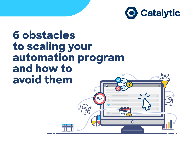

# **6 obstacles to scaling your automation program and how to avoid them**

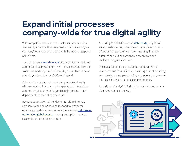## **Expand initial processes company-wide for true digital agility**

With competitive pressures and customer demand at an all-time high, it's vital that the speed and efficiency of your company's operations keep pace with the increasing speed of business.

For that reason, **[more than half](https://www.mckinsey.com/business-functions/operations/our-insights/the-automation-imperative)** of companies have piloted automaton programs to minimize manual tasks, streamline workflows, and empower their employees, with even more planning to do so through 2020 and beyond.

But one of the obstacles to achieving true digital agility with automation is a company's capacity to scale an initial automation pilot program beyond single processes and departments to the entire enterprise.

Because automation is intended to transform internal, company-wide operations and respond to long-term external competitive pressures—not to mention **[unforeseen](https://www.catalytic.com/blog/automation-response-covid-business-continuity) [national or global events](https://www.catalytic.com/blog/automation-response-covid-business-continuity)**—a company's pilot is only as successful as its flexibility to scale.

According to Catalytic's recent **[data study](https://www.catalytic.com/resources/state-of-automation-report)**, only 9% of enterprise leaders reported their company's automation efforts as being at the "Pro" level, meaning that their automation solutions are optimally deployed and configured organization-wide.

Process automation is at a tipping point, where the awareness and interest in implementing a new technology far outweighs a company's ability to properly plan, execute, and scale. So what's holding companies back?

According to Catalytic's findings, here are a few common obstacles getting in the way.

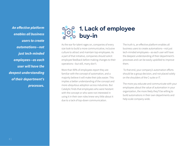**An effective platform enables all business users to create automations—not just tech-minded employees—as each user will have the deepest understanding of their department's processes.**

### **1. Lack of employee buy-in**

As the war for talent rages on, companies of every size look to build a more communicative, inclusive culture to attract and maintain top employees. As a part of that initiative, companies should solicit employee feedback before making changes to their operations—but still, many don't.

More than 90% of employees report they are familiar with the concept of automation, and a majority believe it will make their jobs easier. This implies a better understanding of the concept and more ubiquitous adoption across industries. But Catalytic finds that employees who were hesitant with the concept or who were not interested in using it in their own roles knew very little about it due to a lack of top-down communication.

The truth is, an effective platform enables all business users to create automations—not just tech-minded employees—as each user will have the deepest understanding of their department's processes and can be easily upskilled to improve them.

 To that end, your company's automation efforts should be a group decision, and not placed solely on the shoulders of the C-suite or IT.

The more you educate and communicate with your employees about the value of automation in your organization, the more likely they'll be willing to build automations in their own departments and help scale company-wide.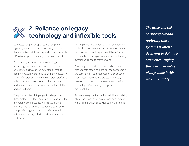

#### **2. Reliance on legacy technology and inflexible tools**

Countless companies operate with on-prem legacy systems that they've used for years —even decades—like their financing and accounting tools, HR software, project management solutions, etc.

But for many, what was once a meaningful technology investment has worn out its welcome. Some systems may be too outdated or require complete reworking to keep up with the necessary speed of operations. And often disparate platforms fail to communicate with each other, causing additional manual work, errors, missed handoffs, and wasted time.

The price and risk of ripping out and replacing these systems is often a deterrent to doing so, often encouraging the "because we've always done it this way" mentality. This files down a company's competitive edge and ability to drive internal efficiencies that pay off with customers and the bottom line.

And implementing certain traditional automation tools—like RPA, to name one—may make minor improvements resulting in one-off benefits, but essentially cements your operations into the very systems you need to move beyond.

According to Catalytic's recent study, survey respondents note a reliance on legacy systems is the second most common reason they've seen their automation effort fail to scale. Although many companies introduce costly automation technology, it's not always integrated in a meaningful way.

Any technology that lacks the flexibility and ability of a cloud-based solution may promise companywide scaling, but will likely fail you in the long-run.

**The price and risk of ripping out and replacing these systems is often a deterrent to doing so, often encouraging the "because we've always done it this way" mentality.**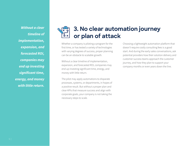**Without a clear timeline of implementation, expansion, and forecasted ROI, companies may end up investing significant time, energy, and money with little return.**

### **3. No clear automation journey or plan of attack**

Whether a company is piloting a program for the first time, or has tested a variety of technologies with varying degrees of success, proper planning can be an obstacle to scalable growth.

Without a clear timeline of implementation, expansion, and forecasted ROI, companies may end up investing significant time, energy, and money with little return.

The pilot may apply automations to disparate processes, systems, or departments, in hopes of a positive result. But without a proper plan and clear KPIs that measure success and align with corporate goals, your company is not taking the necessary steps to scale.

Choosing a lightweight automation platform that doesn't require costly consulting fees is a good start. And during the early sales conversations, ask potential providers how their solution delivery and customer success teams approach the customer journey, and how they plan to support your company months or even years down the line.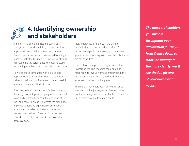

#### **4. Identifying ownership and stakeholders**

A majority (78%) of organizations surveyed in Catalytic's data study said they take a centralized approach to automation, where the purchase decision and implementation is owned by a single team—usually the C-suite or IT. Only 22% distribute this responsibility across departments and teams, with multiple stakeholders across the organization.

However, those companies with a distributed approach saw a higher likelihood of employees believing their automations were more successful and scalable ahead of industry peers.

Though the distributed model is far less common, it often gives employees company-wide a personal stake and greater influence in the evolution of their company. Likewise, it prevents the planning, implementation and expansion of automation from being placed on a single department namely overwhelmed IT teams with a backlog of work that creates bottlenecks and slows the process down.

Plus, employees further down the chain of hierarchy have a deeper understanding of department-specific processes, and therefore a greater stake in wanting to improve them, but most are not consulted.

Only 41% of managers said they're influential in decision-making, meaning there could be more room to involve frontline employees in the implementation process, as well as the various automation projects in the queue.

The more stakeholders you involve throughout your automation journey—from C-suite down to frontline managers—the more clearly you'll see the full picture of your automation needs.

**The more stakeholders you involve throughout your automation journey from C-suite down to frontline managers the more clearly you'll see the full picture of your automation needs.**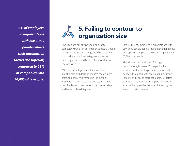**39% of employees in organizations with 250-1,000 people believe their automation tactics are superior, compared to 23% at companies with 50,000-plus people.**

### **5. Failing to contour to organization size**

One size does not always fit all, and that's particularly true of an automation strategy. Smaller organizations report ranking ahead of the curve with their automation strategy compared to their larger peers, and believe that gives them a competitive edge.

With fewer employees and therefore fewer stakeholders and decision-makers, there's more cross-company involvement in the buying, implementation and scaling processes —not to mention fewer processes to automate, less data and fewer tools to integrate.

In fact, 39% of employees in organizations with 250-1,000 people believe their automation tactics are superior, compared to 23% at companies with 50,000-plus people.

That doesn't mean all is lost for larger organizations, however. To keep with their smaller-sized peers, larger enterprises need to be more thoughtful with their planning strategy, in terms of involving more stakeholders, better communication, and ensuring you're choosing a technology provider that's flexible enough to accommodate your needs.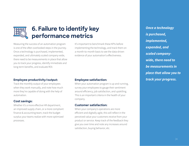

#### **6. Failure to identify key performance metrics**

Measuring the success of an automation program is one of the often overlooked steps in the journey. Once a technology is purchased, implemented, expanded, and ultimately scaled company-wide, there need to be measurements in place that allow you to track your progress, identify immediate and long-term benefits, and evaluate ROI.

#### **Employee productivity/output:**

Track the monthly output of your employees when they work manually, and note how much more they're capable of doing with the help of automation.

#### **Cost savings:**

Whether it's a more effective HR department, an improved supply chain, or a more compliant finance & accounting team, track the budget surplus your teams realize with more optimized processes.

It's important to benchmark these KPIs before implementing the technology, and track them on a month-to-month basis to see the data-driven evidence of your automation's effectiveness.

#### **Employee satisfaction:**

When your automation program is up and running, survey your employees to gauge their sentiment around efficiency, job satisfaction, and upskilling. This is an important criteria in the health of your company.

#### **Customer satisfaction:**

When your company's operations are more efficient and digitally agile, this will reflect in the perceived value your customers receive from your product or service. Keep track of the feedback they give you over time and note any increases around satisfaction, buying behavior, etc.

**Once a technology is purchased, implemented, expanded, and scaled companywide, there need to be measurements in place that allow you to track your progress.**